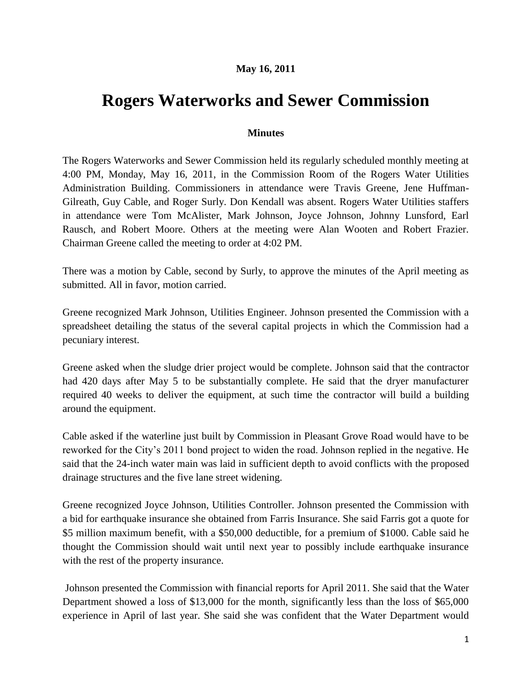## **May 16, 2011**

## **Rogers Waterworks and Sewer Commission**

## **Minutes**

The Rogers Waterworks and Sewer Commission held its regularly scheduled monthly meeting at 4:00 PM, Monday, May 16, 2011, in the Commission Room of the Rogers Water Utilities Administration Building. Commissioners in attendance were Travis Greene, Jene Huffman-Gilreath, Guy Cable, and Roger Surly. Don Kendall was absent. Rogers Water Utilities staffers in attendance were Tom McAlister, Mark Johnson, Joyce Johnson, Johnny Lunsford, Earl Rausch, and Robert Moore. Others at the meeting were Alan Wooten and Robert Frazier. Chairman Greene called the meeting to order at 4:02 PM.

There was a motion by Cable, second by Surly, to approve the minutes of the April meeting as submitted. All in favor, motion carried.

Greene recognized Mark Johnson, Utilities Engineer. Johnson presented the Commission with a spreadsheet detailing the status of the several capital projects in which the Commission had a pecuniary interest.

Greene asked when the sludge drier project would be complete. Johnson said that the contractor had 420 days after May 5 to be substantially complete. He said that the dryer manufacturer required 40 weeks to deliver the equipment, at such time the contractor will build a building around the equipment.

Cable asked if the waterline just built by Commission in Pleasant Grove Road would have to be reworked for the City"s 2011 bond project to widen the road. Johnson replied in the negative. He said that the 24-inch water main was laid in sufficient depth to avoid conflicts with the proposed drainage structures and the five lane street widening.

Greene recognized Joyce Johnson, Utilities Controller. Johnson presented the Commission with a bid for earthquake insurance she obtained from Farris Insurance. She said Farris got a quote for \$5 million maximum benefit, with a \$50,000 deductible, for a premium of \$1000. Cable said he thought the Commission should wait until next year to possibly include earthquake insurance with the rest of the property insurance.

Johnson presented the Commission with financial reports for April 2011. She said that the Water Department showed a loss of \$13,000 for the month, significantly less than the loss of \$65,000 experience in April of last year. She said she was confident that the Water Department would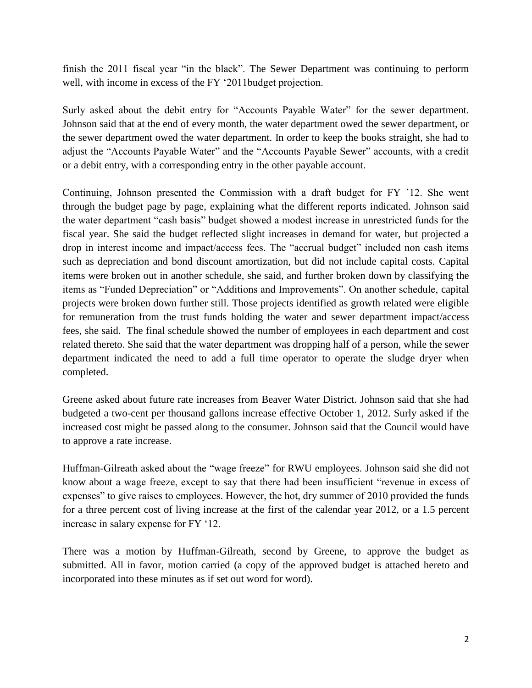finish the 2011 fiscal year "in the black". The Sewer Department was continuing to perform well, with income in excess of the FY '2011budget projection.

Surly asked about the debit entry for "Accounts Payable Water" for the sewer department. Johnson said that at the end of every month, the water department owed the sewer department, or the sewer department owed the water department. In order to keep the books straight, she had to adjust the "Accounts Payable Water" and the "Accounts Payable Sewer" accounts, with a credit or a debit entry, with a corresponding entry in the other payable account.

Continuing, Johnson presented the Commission with a draft budget for FY "12. She went through the budget page by page, explaining what the different reports indicated. Johnson said the water department "cash basis" budget showed a modest increase in unrestricted funds for the fiscal year. She said the budget reflected slight increases in demand for water, but projected a drop in interest income and impact/access fees. The "accrual budget" included non cash items such as depreciation and bond discount amortization, but did not include capital costs. Capital items were broken out in another schedule, she said, and further broken down by classifying the items as "Funded Depreciation" or "Additions and Improvements". On another schedule, capital projects were broken down further still. Those projects identified as growth related were eligible for remuneration from the trust funds holding the water and sewer department impact/access fees, she said. The final schedule showed the number of employees in each department and cost related thereto. She said that the water department was dropping half of a person, while the sewer department indicated the need to add a full time operator to operate the sludge dryer when completed.

Greene asked about future rate increases from Beaver Water District. Johnson said that she had budgeted a two-cent per thousand gallons increase effective October 1, 2012. Surly asked if the increased cost might be passed along to the consumer. Johnson said that the Council would have to approve a rate increase.

Huffman-Gilreath asked about the "wage freeze" for RWU employees. Johnson said she did not know about a wage freeze, except to say that there had been insufficient "revenue in excess of expenses" to give raises to employees. However, the hot, dry summer of 2010 provided the funds for a three percent cost of living increase at the first of the calendar year 2012, or a 1.5 percent increase in salary expense for FY "12.

There was a motion by Huffman-Gilreath, second by Greene, to approve the budget as submitted. All in favor, motion carried (a copy of the approved budget is attached hereto and incorporated into these minutes as if set out word for word).